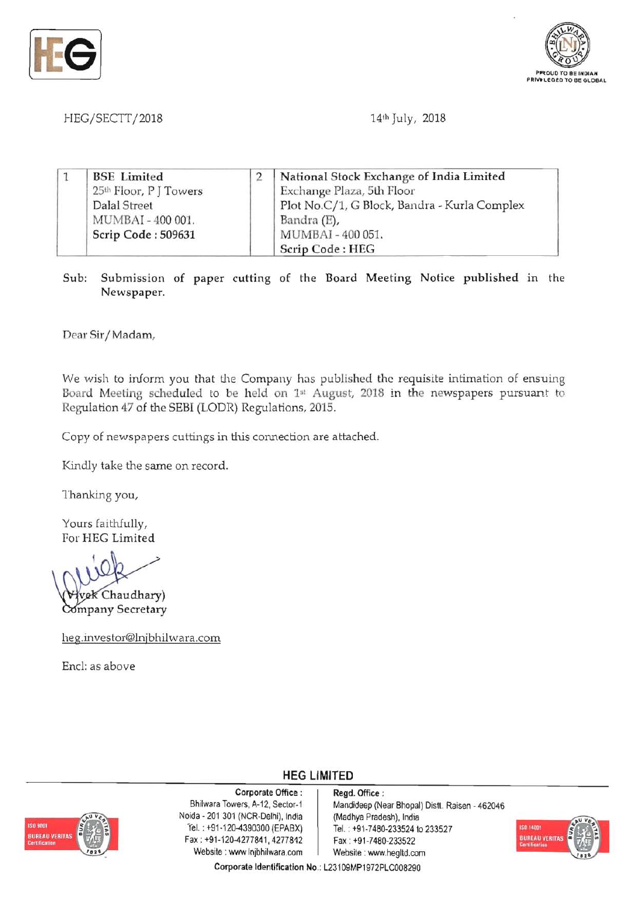



*J-IEG/SECTT 12018*  14th July, 2018

| <b>BSE</b> Limited    | National Stock Exchange of India Limited     |
|-----------------------|----------------------------------------------|
| 25th Floor, PJ Towers | Exchange Plaza, 5th Floor                    |
| Dalal Street          | Plot No.C/1, G Block, Bandra - Kurla Complex |
| MUMBAI-400 001.       | Bandra (E),                                  |
| Scrip Code: 509631    | MUMBAI - 400 051.                            |
|                       | Scrip Code: HEG                              |

Sub: Submission of paper cutting of the Board Meeting Notice published in the Newspaper.

Dear Sir/Madam,

We wish to inform you that the Company has published the requisite intimation of ensuing Board Meeting scheduled to be held on 1st August, 2018 in the newspapers pursuant to Regulation 47 of the SEBI (LODR) Regulations, 2015.

Copy of newspapers cuttings in this connection are attached.

Kindly take the same on record.

Thanking you,

Yours faithfully, For HEG Limited

Chaudhary) *Company Secretary* 

heg.investor@lnjbhilwara.com

End: as above



Corporate Office: | Regd. Office: Noida - 201 301 (NCR-Delhi), India (Madhya Pradesh), India Fax: +91-120-4277841, 4277812 Fax: +91-7480-233522

Bhilwara Towers. A-12, Sector-1 Mandideep (Near Bhopal) Distt. Raisen - 462046 'reI. : +91-120-4390300 (EPABX) Tel. : +91-7480-233524 to 233527 Website: www.lnjbhilwara.com | Website: www.hegltd.com



Corporate Identification No .: L23109MP1972PLC008290

**HEG LIMITED**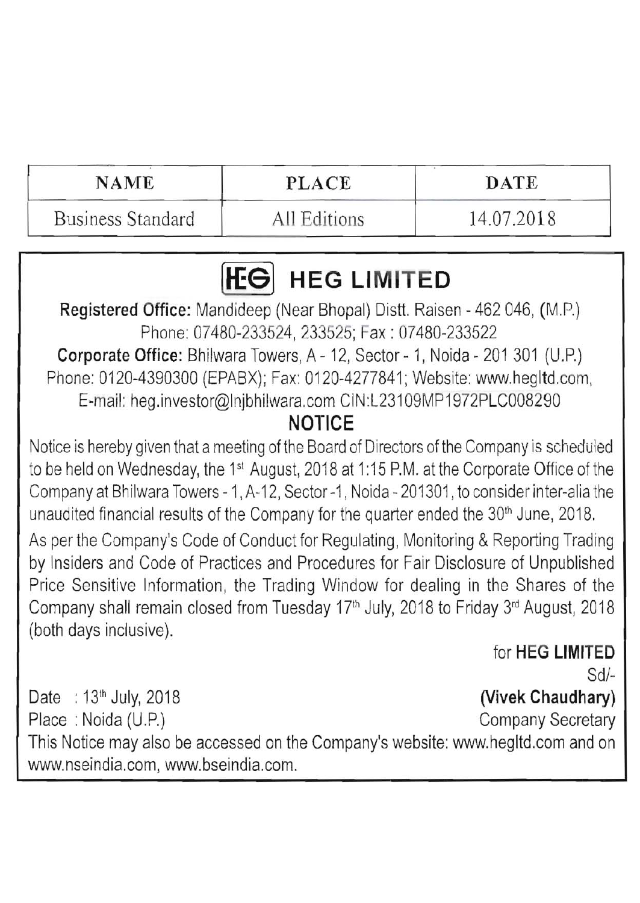|  | <b>NAME</b> |  |
|--|-------------|--|
|  |             |  |

### NAME PLACE DATE

Business Standard All Editions 14.07.2018

# **IEG** HEG LIMITED

Registered Office: Mandideep (Near Bhopal) Distt. Raisen - 462 046, (M.P.) Phone: 07480-233524, 233525; Fax: 07480-233522

Corporate Office: Bhilwara Towers, A - 12, Sector - 1, Noida - 201 301 (U.P.) Phone: 0120-4390300 (EPABX); Fax: 0120-4277841; Website: www.hegltd.com,

E-mail: heg.investor@lnjbhilwara.com CIN:L231 09MP1972PLC008290

## **NOTICE**

Notice is hereby given that ameeting of the Board of Directors of the Company is scheduled to be held on Wednesday, the 1<sup>st</sup> August, 2018 at 1:15 P.M. at the Corporate Office of the Company at Bhilwara Towers - 1, A-12, Sector -1, Noida - 201301, to consider inter-alia the unaudited financial results of the Company for the quarter ended the 30<sup>th</sup> June, 2018.

As per the Company's Code of Conduct for Regulating, Monitoring & Reporting Trading by Insiders and Code of Practices and Procedures for Fair Disclosure of Unpublished Price Sensitive Information, the Trading Window for dealing in the Shares of the Company shall remain closed from Tuesday 17<sup>th</sup> July, 2018 to Friday 3<sup>rd</sup> August, 2018 (both days inclusive).

for HEG LIMITED Sd/ Date : 13<sup>th</sup> July, 2018 **(Vivek Chaudhary)** Place: Noida (U.P.) Company Secretary This Notice may also be accessed on the Company's website: www.hegltd.com and on www.nseindia.com, www.bseindia.com.